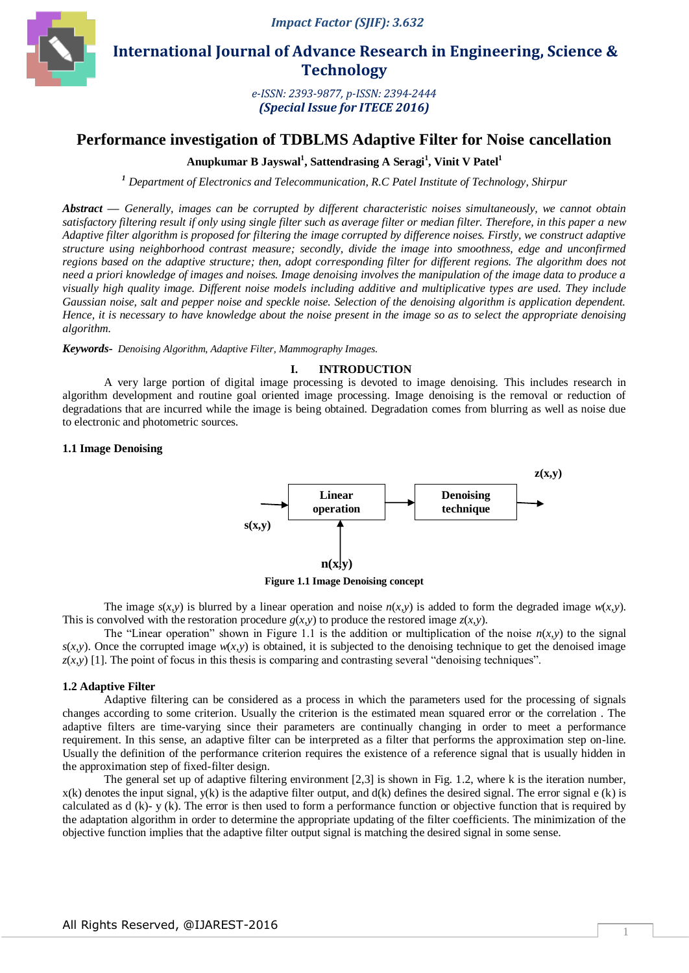

 **International Journal of Advance Research in Engineering, Science & Technology** 

> *e-ISSN: 2393-9877, p-ISSN: 2394-2444 (Special Issue for ITECE 2016)*

# **Performance investigation of TDBLMS Adaptive Filter for Noise cancellation**

# **Anupkumar B Jayswal<sup>1</sup> , Sattendrasing A Seragi<sup>1</sup> , Vinit V Patel<sup>1</sup>**

*<sup>1</sup> Department of Electronics and Telecommunication, R.C Patel Institute of Technology, Shirpur*

*Abstract* **—** *Generally, images can be corrupted by different characteristic noises simultaneously, we cannot obtain satisfactory filtering result if only using single filter such as average filter or median filter. Therefore, in this paper a new Adaptive filter algorithm is proposed for filtering the image corrupted by difference noises. Firstly, we construct adaptive structure using neighborhood contrast measure; secondly, divide the image into smoothness, edge and unconfirmed regions based on the adaptive structure; then, adopt corresponding filter for different regions. The algorithm does not need a priori knowledge of images and noises. Image denoising involves the manipulation of the image data to produce a visually high quality image. Different noise models including additive and multiplicative types are used. They include Gaussian noise, salt and pepper noise and speckle noise. Selection of the denoising algorithm is application dependent. Hence, it is necessary to have knowledge about the noise present in the image so as to select the appropriate denoising algorithm.* 

*Keywords- Denoising Algorithm, Adaptive Filter, Mammography Images.*

#### **I. INTRODUCTION**

A very large portion of digital image processing is devoted to image denoising. This includes research in algorithm development and routine goal oriented image processing. Image denoising is the removal or reduction of degradations that are incurred while the image is being obtained. Degradation comes from blurring as well as noise due to electronic and photometric sources.

### **1.1 Image Denoising**



**Figure 1.1 Image Denoising concept**

The image  $s(x, y)$  is blurred by a linear operation and noise  $n(x, y)$  is added to form the degraded image  $w(x, y)$ . This is convolved with the restoration procedure  $g(x, y)$  to produce the restored image  $z(x, y)$ .

The "Linear operation" shown in Figure 1.1 is the addition or multiplication of the noise  $n(x, y)$  to the signal  $s(x, y)$ . Once the corrupted image  $w(x, y)$  is obtained, it is subjected to the denoising technique to get the denoised image  $z(x, y)$  [1]. The point of focus in this thesis is comparing and contrasting several "denoising techniques".

#### **1.2 Adaptive Filter**

Adaptive filtering can be considered as a process in which the parameters used for the processing of signals changes according to some criterion. Usually the criterion is the estimated mean squared error or the correlation . The adaptive filters are time-varying since their parameters are continually changing in order to meet a performance requirement. In this sense, an adaptive filter can be interpreted as a filter that performs the approximation step on-line. Usually the definition of the performance criterion requires the existence of a reference signal that is usually hidden in the approximation step of fixed-filter design.

The general set up of adaptive filtering environment [2,3] is shown in Fig. 1.2, where k is the iteration number,  $x(k)$  denotes the input signal,  $y(k)$  is the adaptive filter output, and  $d(k)$  defines the desired signal. The error signal e (k) is calculated as  $d(k)$ - y  $(k)$ . The error is then used to form a performance function or objective function that is required by the adaptation algorithm in order to determine the appropriate updating of the filter coefficients. The minimization of the objective function implies that the adaptive filter output signal is matching the desired signal in some sense.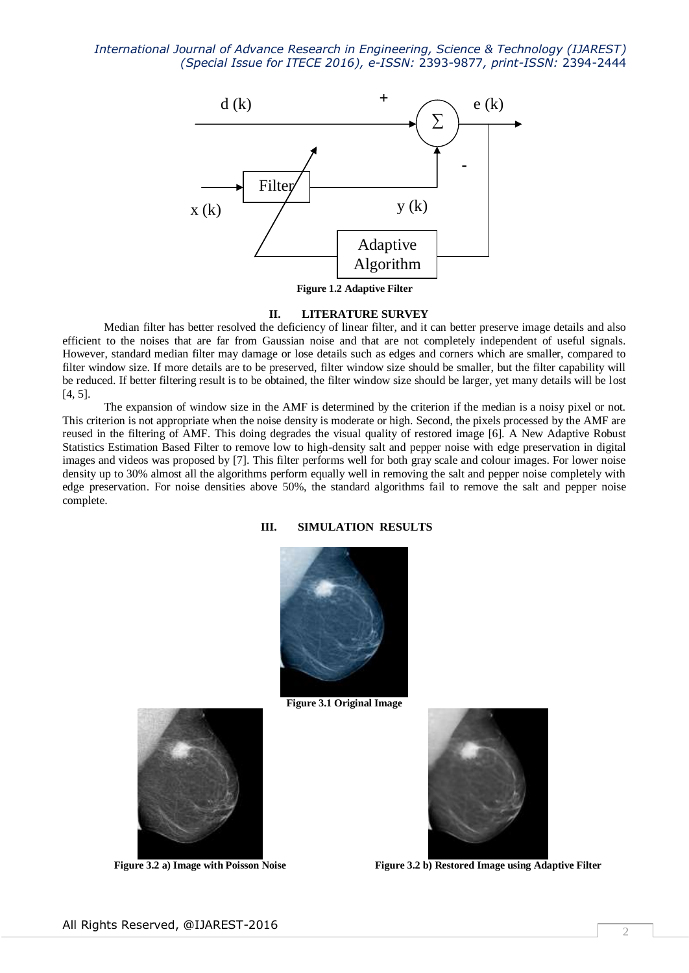*International Journal of Advance Research in Engineering, Science & Technology (IJAREST) (Special Issue for ITECE 2016), e-ISSN:* 2393-9877*, print-ISSN:* 2394-2444



**Figure 1.2 Adaptive Filter**

#### **II. LITERATURE SURVEY**

Median filter has better resolved the deficiency of linear filter, and it can better preserve image details and also efficient to the noises that are far from Gaussian noise and that are not completely independent of useful signals. However, standard median filter may damage or lose details such as edges and corners which are smaller, compared to filter window size. If more details are to be preserved, filter window size should be smaller, but the filter capability will be reduced. If better filtering result is to be obtained, the filter window size should be larger, yet many details will be lost [4, 5].

The expansion of window size in the AMF is determined by the criterion if the median is a noisy pixel or not. This criterion is not appropriate when the noise density is moderate or high. Second, the pixels processed by the AMF are reused in the filtering of AMF. This doing degrades the visual quality of restored image [6]. A New Adaptive Robust Statistics Estimation Based Filter to remove low to high-density salt and pepper noise with edge preservation in digital images and videos was proposed by [7]. This filter performs well for both gray scale and colour images. For lower noise density up to 30% almost all the algorithms perform equally well in removing the salt and pepper noise completely with edge preservation. For noise densities above 50%, the standard algorithms fail to remove the salt and pepper noise complete.

### **III. SIMULATION RESULTS**



**Figure 3.1 Original Image**



Figure 3.2 a) Image with Poisson Noise Figure 3.2 b) Restored Image using Adaptive Filter

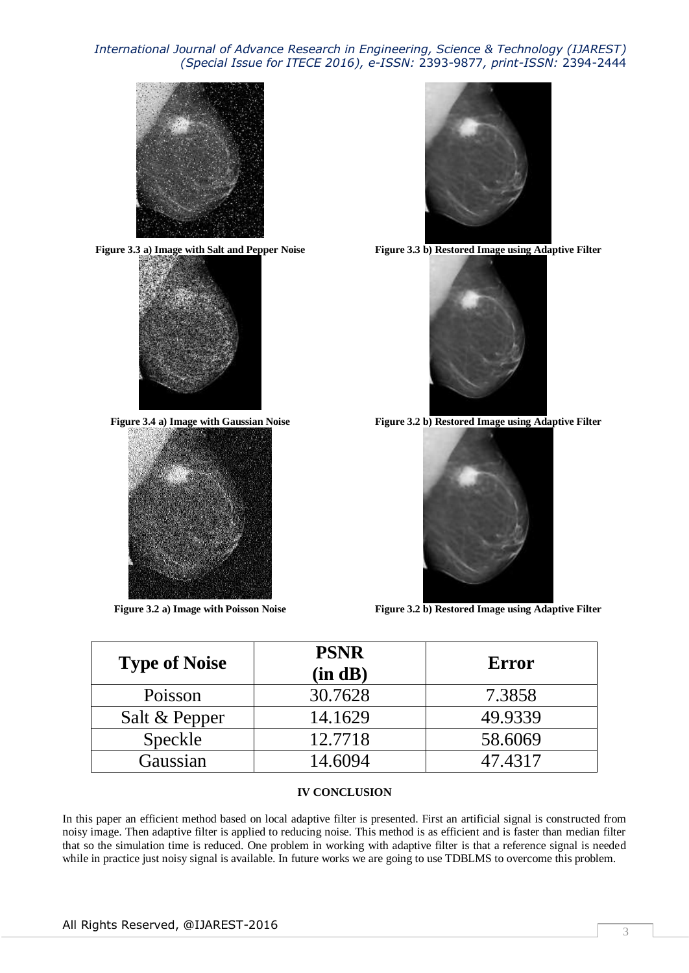## *International Journal of Advance Research in Engineering, Science & Technology (IJAREST) (Special Issue for ITECE 2016), e-ISSN:* 2393-9877*, print-ISSN:* 2394-2444









**Figure 3.3 a) Image with Salt and Pepper Noise Figure 3.3 b) Restored Image using Adaptive Filter**



**Figure 3.4 a) Image with Gaussian Noise Figure 3.2 b) Restored Image using Adaptive Filter**



Figure 3.2 a) Image with Poisson Noise Figure 3.2 b) Restored Image using Adaptive Filter

| <b>Type of Noise</b> | <b>PSNR</b><br>(in dB) | Error   |
|----------------------|------------------------|---------|
| Poisson              | 30.7628                | 7.3858  |
| Salt & Pepper        | 14.1629                | 49.9339 |
| Speckle              | 12.7718                | 58.6069 |
| Gaussian             | 14.6094                | 47.4317 |

### **IV CONCLUSION**

In this paper an efficient method based on local adaptive filter is presented. First an artificial signal is constructed from noisy image. Then adaptive filter is applied to reducing noise. This method is as efficient and is faster than median filter that so the simulation time is reduced. One problem in working with adaptive filter is that a reference signal is needed while in practice just noisy signal is available. In future works we are going to use TDBLMS to overcome this problem.